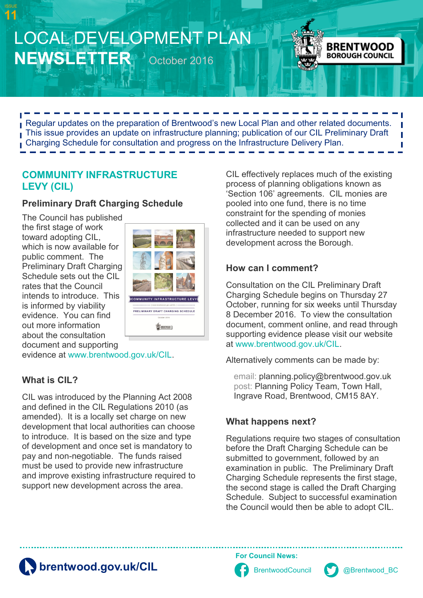



Regular updates on the preparation of Brentwood's new Local Plan and other related documents. This issue provides an update on infrastructure planning; publication of our CIL Preliminary Draft Charging Schedule for consultation and progress on the Infrastructure Delivery Plan.

#### **COMMUNITY INFRASTRUCTURE LEVY (CIL)**

#### **Preliminary Draft Charging Schedule**

The Council has published the first stage of work toward adopting CIL, which is now available for public comment. The Preliminary Draft Charging Schedule sets out the CIL rates that the Council intends to introduce. This is informed by viability evidence. You can find out more information about the consultation document and supporting



evidence at [www.brentwood.gov.uk/CIL.](http://www.brentwood.gov.uk/cil)

### **What is CIL?**

CIL was introduced by the Planning Act 2008 and defined in the CIL Regulations 2010 (as amended). It is a locally set charge on new development that local authorities can choose to introduce. It is based on the size and type of development and once set is mandatory to pay and non-negotiable. The funds raised must be used to provide new infrastructure and improve existing infrastructure required to support new development across the area.

CIL effectively replaces much of the existing process of planning obligations known as 'Section 106' agreements. CIL monies are pooled into one fund, there is no time constraint for the spending of monies collected and it can be used on any infrastructure needed to support new development across the Borough.

### **How can I comment?**

Consultation on the CIL Preliminary Draft Charging Schedule begins on Thursday 27 October, running for six weeks until Thursday 8 December 2016. To view the consultation document, comment online, and read through supporting evidence please visit our website at [www.brentwood.gov.uk/CIL.](http://www.brentwood.gov.uk/cil)

Alternatively comments can be made by:

email: [planning.policy@brentwood.gov.uk](mailto:planning.policy@brentwood.gov.uk)  post: Planning Policy Team, Town Hall, Ingrave Road, Brentwood, CM15 8AY.

### **What happens next?**

Regulations require two stages of consultation before the Draft Charging Schedule can be submitted to government, followed by an examination in public. The Preliminary Draft Charging Schedule represents the first stage, the second stage is called the Draft Charging Schedule. Subject to successful examination the Council would then be able to adopt CIL.

**[brentwood.gov.uk/CIL](http://www.brentwood.gov.uk/cil)** [BrentwoodCouncil](https://www.facebook.com/brentwoodcouncil) [@Brentwood\\_BC](https://www.twitter.com/brentwood_bc)

**For Council News:**